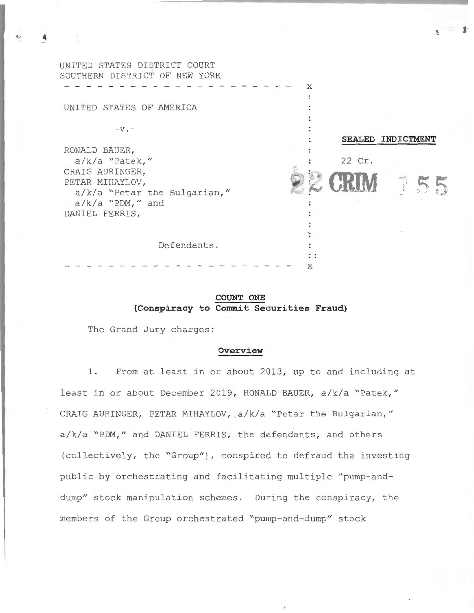| UNITED STATES DISTRICT COURT  |                   |
|-------------------------------|-------------------|
| SOUTHERN DISTRICT OF NEW YORK |                   |
|                               | X                 |
|                               |                   |
| UNITED STATES OF AMERICA      |                   |
|                               |                   |
| $-\mathbf{v}$ . $-$           |                   |
|                               | SEALED INDICTMENT |
| RONALD BAUER,                 |                   |
| $a/k/a$ "Patek,"              | 22 Cr.            |
| CRAIG AURINGER,               |                   |
| PETAR MIHAYLOV,               |                   |
| a/k/a "Petar the Bulgarian,"  |                   |
| $a/k/a$ "PDM," and            |                   |
| DANIEL FERRIS,                |                   |
|                               |                   |
|                               |                   |
| Defendants.                   |                   |
|                               |                   |
|                               | X                 |

# **COUNT ONE (Conspiracy to Commit Securities Fraud)**

The Grand Jury charges:

# **Overview**

1. From at least in or about 2013, up to and including at least in or about December 2019, RONALD BAUER, a/k/a "Patek," CRAIG AURINGER, PETAR MIHAYLOV, a/k/a "Petar the Bulgarian," a/k/a "PDM," and DANIEL FERRIS, the defendants, and others (collectively, the "Group"), conspired to defraud the investing public by orchestrating and facilitating multiple "pump-anddump" stock manipulation schemes. During the conspiracy, the members of the Group orchestrated "pump-and-dump" stock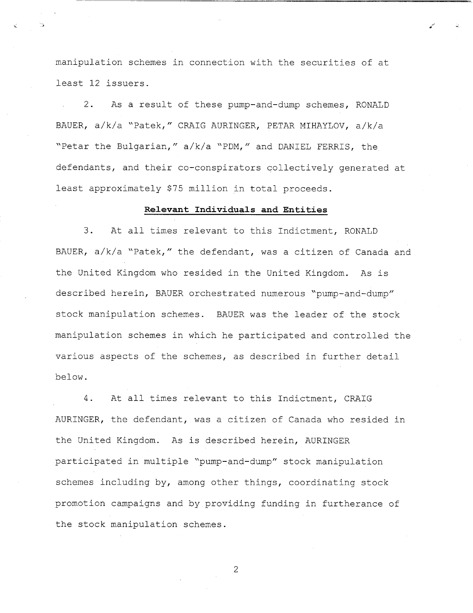manipulation schemes in connection with the securities of at least 12 issuers.

As a result of these pump-and-dump schemes, RONALD  $2.$ BAUER, a/k/a "Patek," CRAIG AURINGER, PETAR MIHAYLOV, a/k/a "Petar the Bulgarian," a/k/a "PDM," and DANIEL FERRIS, the defendants, and their co-conspirators collectively generated at least approximately \$75 million in total proceeds.

# Relevant Individuals and Entities

 $3.$ At all times relevant to this Indictment, RONALD BAUER, a/k/a "Patek," the defendant, was a citizen of Canada and the United Kingdom who resided in the United Kingdom. As is described herein, BAUER orchestrated numerous "pump-and-dump" stock manipulation schemes. BAUER was the leader of the stock manipulation schemes in which he participated and controlled the various aspects of the schemes, as described in further detail below.

4. At all times relevant to this Indictment, CRAIG AURINGER, the defendant, was a citizen of Canada who resided in the United Kingdom. As is described herein, AURINGER participated in multiple "pump-and-dump" stock manipulation schemes including by, among other things, coordinating stock promotion campaigns and by providing funding in furtherance of the stock manipulation schemes.

 $\overline{2}$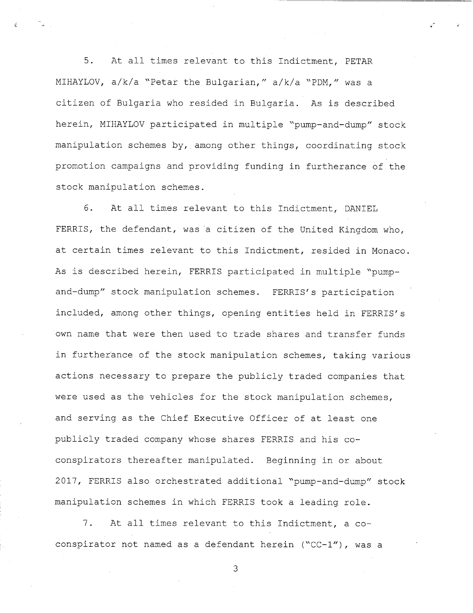$5<sub>1</sub>$ At all times relevant to this Indictment, PETAR MIHAYLOV, a/k/a "Petar the Bulgarian," a/k/a "PDM," was a citizen of Bulgaria who resided in Bulgaria. As is described herein, MIHAYLOV participated in multiple "pump-and-dump" stock manipulation schemes by, among other things, coordinating stock promotion campaigns and providing funding in furtherance of the stock manipulation schemes.

At all times relevant to this Indictment, DANIEL 6. FERRIS, the defendant, was a citizen of the United Kingdom who, at certain times relevant to this Indictment, resided in Monaco. As is described herein, FERRIS participated in multiple "pumpand-dump" stock manipulation schemes. FERRIS's participation included, among other things, opening entities held in FERRIS's own name that were then used to trade shares and transfer funds in furtherance of the stock manipulation schemes, taking various actions necessary to prepare the publicly traded companies that were used as the vehicles for the stock manipulation schemes, and serving as the Chief Executive Officer of at least one publicly traded company whose shares FERRIS and his coconspirators thereafter manipulated. Beginning in or about 2017, FERRIS also orchestrated additional "pump-and-dump" stock manipulation schemes in which FERRIS took a leading role.

 $7.$ At all times relevant to this Indictment, a coconspirator not named as a defendant herein ("CC-1"), was a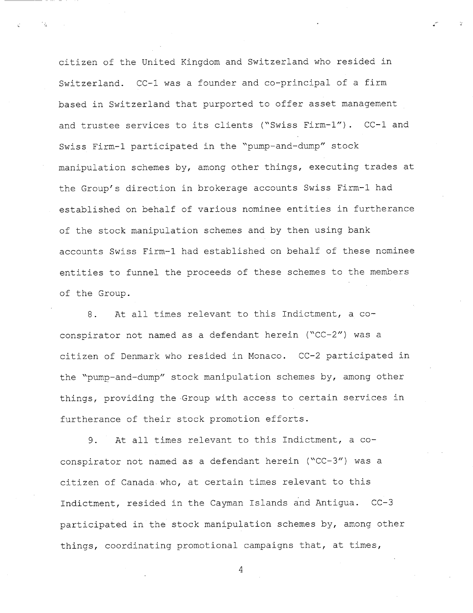citizen of the United Kingdom and Switzerland who resided in Switzerland. CC-1 was a founder and co-principal of a firm based in Switzerland that purported to offer asset management and trustee services to its clients ("Swiss Firm-1"). CC-1 and Swiss Firm-1 participated in the "pump-and-dump" stock manipulation schemes by, among other things, executing trades at the Group's direction in brokerage accounts Swiss Firm-1 had established on behalf of various nominee entities in furtherance of the stock manipulation schemes and by then using bank accounts Swiss Firm-1 had established on behalf of these nominee entities to funnel the proceeds of these schemes to the members of the Group.

At all times relevant to this Indictment, a co-8. conspirator not named as a defendant herein ("CC-2") was a citizen of Denmark who resided in Monaco. CC-2 participated in the "pump-and-dump" stock manipulation schemes by, among other things, providing the Group with access to certain services in furtherance of their stock promotion efforts.

At all times relevant to this Indictment, a co-9. conspirator not named as a defendant herein ("CC-3") was a citizen of Canada who, at certain times relevant to this Indictment, resided in the Cayman Islands and Antigua. CC-3 participated in the stock manipulation schemes by, among other things, coordinating promotional campaigns that, at times,

 $\overline{4}$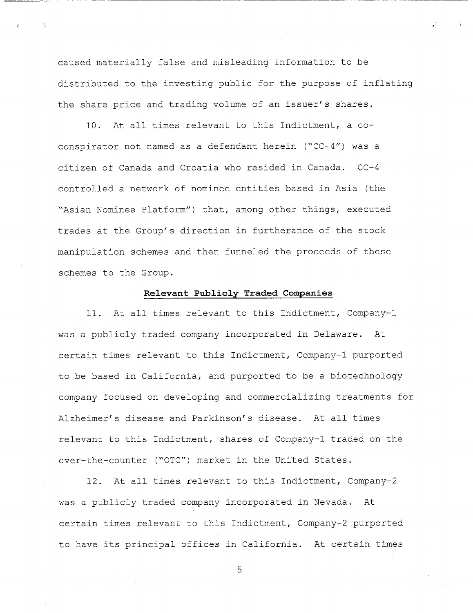caused materially false and misleading information to be distributed to the investing public for the purpose of inflating the share price and trading volume of an issuer's shares.

10. At all times relevant to this Indictment, a coconspirator not named as a defendant herein ("CC-4") was a citizen of Canada and Croatia who resided in Canada. CC-4 controlled a network of nominee entities based in Asia (the "Asian Nominee Platform") that, among other things, executed trades at the Group's direction in furtherance of the stock manipulation schemes and then funneled the proceeds of these schemes to the Group.

### Relevant Publicly Traded Companies

11. At all times relevant to this Indictment, Company-1 was a publicly traded company incorporated in Delaware. At certain times relevant to this Indictment, Company-1 purported to be based in California, and purported to be a biotechnology company focused on developing and commercializing treatments for Alzheimer's disease and Parkinson's disease. At all times relevant to this Indictment, shares of Company-1 traded on the over-the-counter ("OTC") market in the United States.

12. At all times relevant to this Indictment, Company-2 was a publicly traded company incorporated in Nevada. At certain times relevant to this Indictment, Company-2 purported to have its principal offices in California. At certain times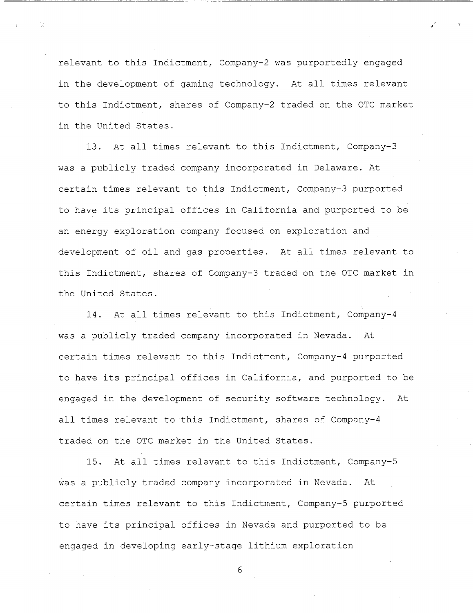relevant to this Indictment, Company-2 was purportedly engaged in the development of gaming technology. At all times relevant to this Indictment, shares of Company-2 traded on the OTC market in the United States.

At all times relevant to this Indictment, Company-3  $13<sub>1</sub>$ was a publicly traded company incorporated in Delaware. At certain times relevant to this Indictment, Company-3 purported to have its principal offices in California and purported to be an energy exploration company focused on exploration and development of oil and gas properties. At all times relevant to this Indictment, shares of Company-3 traded on the OTC market in the United States.

At all times relevant to this Indictment, Company-4  $14.$ was a publicly traded company incorporated in Nevada. At. certain times relevant to this Indictment, Company-4 purported to have its principal offices in California, and purported to be engaged in the development of security software technology. At all times relevant to this Indictment, shares of Company-4 traded on the OTC market in the United States.

 $15.$ At all times relevant to this Indictment, Company-5 was a publicly traded company incorporated in Nevada. At certain times relevant to this Indictment, Company-5 purported to have its principal offices in Nevada and purported to be engaged in developing early-stage lithium exploration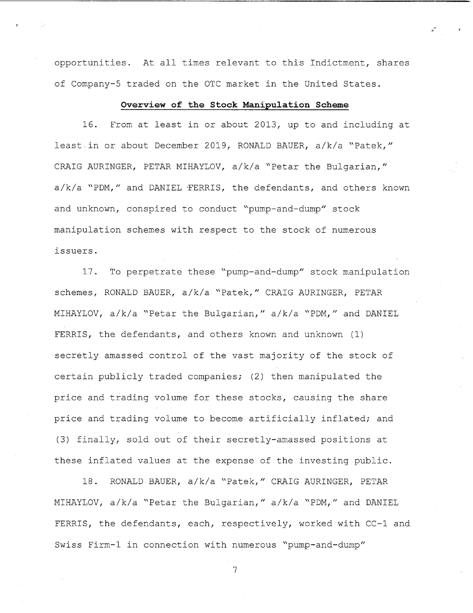opportunities. At all times relevant to this Indictment, shares of Company-5 traded on the OTC market in the United States.

### Overview of the Stock Manipulation Scheme

 $16.$ From at least in or about 2013, up to and including at least in or about December 2019, RONALD BAUER, a/k/a "Patek," CRAIG AURINGER, PETAR MIHAYLOV, a/k/a "Petar the Bulgarian," a/k/a "PDM," and DANIEL FERRIS, the defendants, and others known and unknown, conspired to conduct "pump-and-dump" stock manipulation schemes with respect to the stock of numerous issuers.

To perpetrate these "pump-and-dump" stock manipulation  $17.$ schemes, RONALD BAUER, a/k/a "Patek," CRAIG AURINGER, PETAR MIHAYLOV, a/k/a "Petar the Bulgarian," a/k/a "PDM," and DANIEL FERRIS, the defendants, and others known and unknown (1) secretly amassed control of the vast majority of the stock of certain publicly traded companies; (2) then manipulated the price and trading volume for these stocks, causing the share price and trading volume to become artificially inflated; and (3) finally, sold out of their secretly-amassed positions at these inflated values at the expense of the investing public.

RONALD BAUER, a/k/a "Patek," CRAIG AURINGER, PETAR  $18.$ MIHAYLOV, a/k/a "Petar the Bulgarian," a/k/a "PDM," and DANIEL FERRIS, the defendants, each, respectively, worked with CC-1 and Swiss Firm-1 in connection with numerous "pump-and-dump"

 $\overline{7}$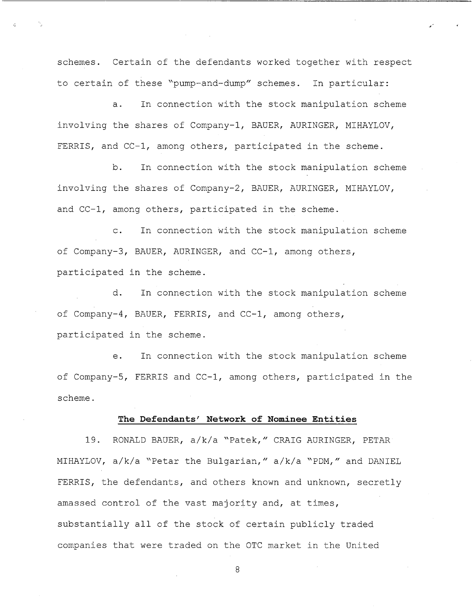schemes. Certain of the defendants worked together with respect to certain of these "pump-and-dump" schemes. In particular:

In connection with the stock manipulation scheme  $a.$ involving the shares of Company-1, BAUER, AURINGER, MIHAYLOV, FERRIS, and CC-1, among others, participated in the scheme.

In connection with the stock manipulation scheme  $b<sub>1</sub>$ involving the shares of Company-2, BAUER, AURINGER, MIHAYLOV, and CC-1, among others, participated in the scheme.

In connection with the stock manipulation scheme  $\mathsf{C}$ . of Company-3, BAUER, AURINGER, and CC-1, among others, participated in the scheme.

 $d_{-}$ In connection with the stock manipulation scheme of Company-4, BAUER, FERRIS, and CC-1, among others, participated in the scheme.

In connection with the stock manipulation scheme  $e<sub>1</sub>$ of Company-5, FERRIS and CC-1, among others, participated in the scheme.

#### The Defendants' Network of Nominee Entities

RONALD BAUER, a/k/a "Patek," CRAIG AURINGER, PETAR 19. MIHAYLOV, a/k/a "Petar the Bulgarian," a/k/a "PDM," and DANIEL FERRIS, the defendants, and others known and unknown, secretly amassed control of the vast majority and, at times, substantially all of the stock of certain publicly traded companies that were traded on the OTC market in the United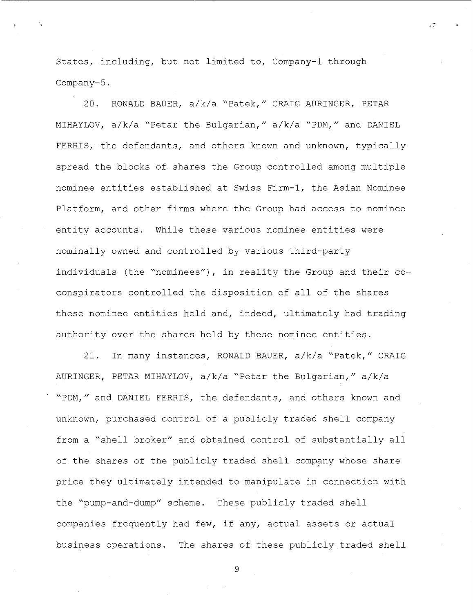States, including, but not limited to, Company-1 through Company-5.

 $20.$ RONALD BAUER, a/k/a "Patek," CRAIG AURINGER, PETAR MIHAYLOV, a/k/a "Petar the Bulgarian," a/k/a "PDM," and DANIEL FERRIS, the defendants, and others known and unknown, typically spread the blocks of shares the Group controlled among multiple nominee entities established at Swiss Firm-1, the Asian Nominee Platform, and other firms where the Group had access to nominee entity accounts. While these various nominee entities were nominally owned and controlled by various third-party individuals (the "nominees"), in reality the Group and their coconspirators controlled the disposition of all of the shares these nominee entities held and, indeed, ultimately had trading authority over the shares held by these nominee entities.

In many instances, RONALD BAUER, a/k/a "Patek," CRAIG  $21.$ AURINGER, PETAR MIHAYLOV, a/k/a "Petar the Bulgarian," a/k/a "PDM," and DANIEL FERRIS, the defendants, and others known and unknown, purchased control of a publicly traded shell company from a "shell broker" and obtained control of substantially all of the shares of the publicly traded shell company whose share price they ultimately intended to manipulate in connection with the "pump-and-dump" scheme. These publicly traded shell companies frequently had few, if any, actual assets or actual business operations. The shares of these publicly traded shell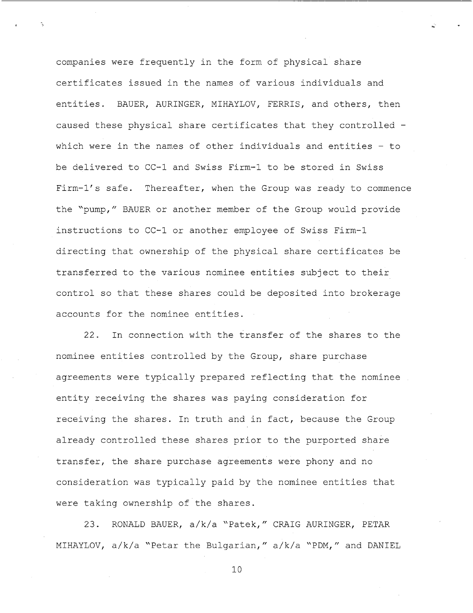companies were frequently in the form of physical share certificates issued in the names of various individuals and entities. BAUER, AURINGER, MIHAYLOV, FERRIS, and others, then caused these physical share certificates that they controlled which were in the names of other individuals and entities  $-$  to be delivered to CC-1 and Swiss Firm-1 to be stored in Swiss Firm-1's safe. Thereafter, when the Group was ready to commence the "pump," BAUER or another member of the Group would provide instructions to CC-1 or another employee of Swiss Firm-1 directing that ownership of the physical share certificates be transferred to the various nominee entities subject to their control so that these shares could be deposited into brokerage accounts for the nominee entities.

In connection with the transfer of the shares to the  $22.$ nominee entities controlled by the Group, share purchase agreements were typically prepared reflecting that the nominee entity receiving the shares was paying consideration for receiving the shares. In truth and in fact, because the Group already controlled these shares prior to the purported share transfer, the share purchase agreements were phony and no consideration was typically paid by the nominee entities that were taking ownership of the shares.

23. RONALD BAUER, a/k/a "Patek," CRAIG AURINGER, PETAR MIHAYLOV, a/k/a "Petar the Bulgarian," a/k/a "PDM," and DANIEL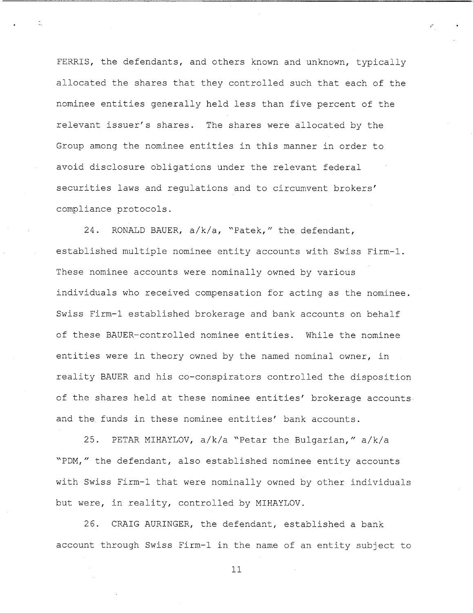FERRIS, the defendants, and others known and unknown, typically allocated the shares that they controlled such that each of the nominee entities generally held less than five percent of the relevant issuer's shares. The shares were allocated by the Group among the nominee entities in this manner in order to avoid disclosure obligations under the relevant federal securities laws and requlations and to circumvent brokers' compliance protocols.

24. RONALD BAUER, a/k/a, "Patek," the defendant, established multiple nominee entity accounts with Swiss Firm-1. These nominee accounts were nominally owned by various individuals who received compensation for acting as the nominee. Swiss Firm-1 established brokerage and bank accounts on behalf of these BAUER-controlled nominee entities. While the nominee entities were in theory owned by the named nominal owner, in reality BAUER and his co-conspirators controlled the disposition of the shares held at these nominee entities' brokerage accounts and the funds in these nominee entities' bank accounts.

25. PETAR MIHAYLOV, a/k/a "Petar the Bulgarian," a/k/a "PDM," the defendant, also established nominee entity accounts with Swiss Firm-1 that were nominally owned by other individuals but were, in reality, controlled by MIHAYLOV.

 $26.$ CRAIG AURINGER, the defendant, established a bank account through Swiss Firm-1 in the name of an entity subject to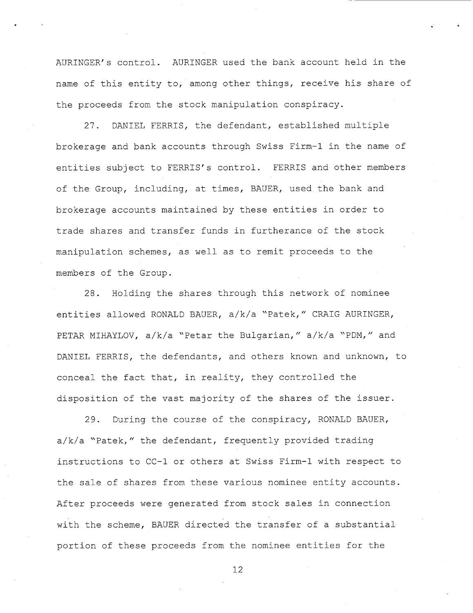AURINGER's control. AURINGER used the bank account held in the name of this entity to, among other things, receive his share of the proceeds from the stock manipulation conspiracy.

DANIEL FERRIS, the defendant, established multiple  $27.$ brokerage and bank accounts through Swiss Firm-1 in the name of entities subject to FERRIS's control. FERRIS and other members of the Group, including, at times, BAUER, used the bank and brokerage accounts maintained by these entities in order to trade shares and transfer funds in furtherance of the stock manipulation schemes, as well as to remit proceeds to the members of the Group.

Holding the shares through this network of nominee  $28.$ entities allowed RONALD BAUER, a/k/a "Patek," CRAIG AURINGER, PETAR MIHAYLOV, a/k/a "Petar the Bulgarian," a/k/a "PDM," and DANIEL FERRIS, the defendants, and others known and unknown, to conceal the fact that, in reality, they controlled the disposition of the vast majority of the shares of the issuer.

During the course of the conspiracy, RONALD BAUER,  $29.$ a/k/a "Patek," the defendant, frequently provided trading instructions to CC-1 or others at Swiss Firm-1 with respect to the sale of shares from these various nominee entity accounts. After proceeds were generated from stock sales in connection with the scheme, BAUER directed the transfer of a substantial portion of these proceeds from the nominee entities for the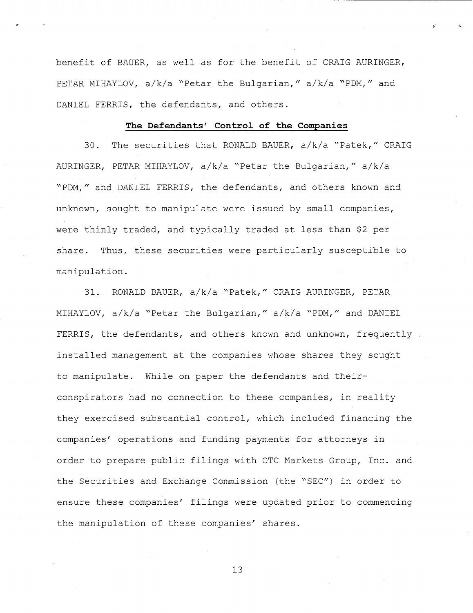benefit of BAUER, as well as for the benefit of CRAIG AURINGER, PETAR MIHAYLOV, a/k/a "Petar the Bulgarian," a/k/a "PDM," and DANIEL FERRIS, the defendants, and others.

### The Defendants' Control of the Companies

The securities that RONALD BAUER, a/k/a "Patek," CRAIG  $30.$ AURINGER, PETAR MIHAYLOV, a/k/a "Petar the Bulgarian," a/k/a "PDM," and DANIEL FERRIS, the defendants, and others known and unknown, sought to manipulate were issued by small companies, were thinly traded, and typically traded at less than \$2 per share. Thus, these securities were particularly susceptible to manipulation.

RONALD BAUER, a/k/a "Patek," CRAIG AURINGER, PETAR  $31.$ MIHAYLOV, a/k/a "Petar the Bulgarian," a/k/a "PDM," and DANIEL FERRIS, the defendants, and others known and unknown, frequently installed management at the companies whose shares they sought to manipulate. While on paper the defendants and theirconspirators had no connection to these companies, in reality they exercised substantial control, which included financing the companies' operations and funding payments for attorneys in order to prepare public filings with OTC Markets Group, Inc. and the Securities and Exchange Commission (the "SEC") in order to ensure these companies' filings were updated prior to commencing the manipulation of these companies' shares.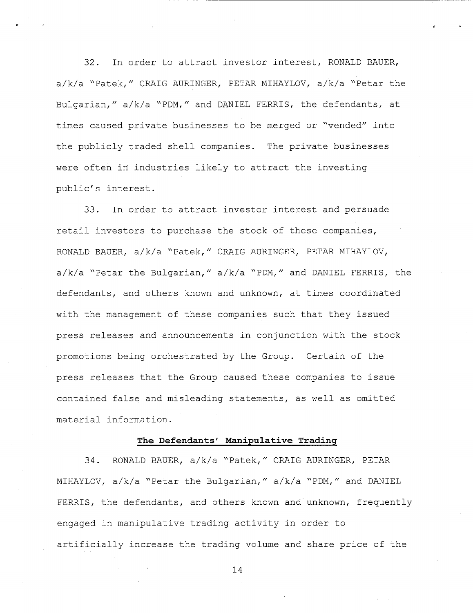In order to attract investor interest, RONALD BAUER,  $32.$ a/k/a "Patek," CRAIG AURINGER, PETAR MIHAYLOV, a/k/a "Petar the Bulgarian," a/k/a "PDM," and DANIEL FERRIS, the defendants, at times caused private businesses to be merged or "vended" into the publicly traded shell companies. The private businesses were often in industries likely to attract the investing public's interest.

In order to attract investor interest and persuade 33. retail investors to purchase the stock of these companies, RONALD BAUER, a/k/a "Patek," CRAIG AURINGER, PETAR MIHAYLOV, a/k/a "Petar the Bulgarian," a/k/a "PDM," and DANIEL FERRIS, the defendants, and others known and unknown, at times coordinated with the management of these companies such that they issued press releases and announcements in conjunction with the stock promotions being orchestrated by the Group. Certain of the press releases that the Group caused these companies to issue contained false and misleading statements, as well as omitted material information.

### The Defendants' Manipulative Trading

 $34.$ RONALD BAUER, a/k/a "Patek," CRAIG AURINGER, PETAR MIHAYLOV, a/k/a "Petar the Bulgarian," a/k/a "PDM," and DANIEL FERRIS, the defendants, and others known and unknown, frequently engaged in manipulative trading activity in order to artificially increase the trading volume and share price of the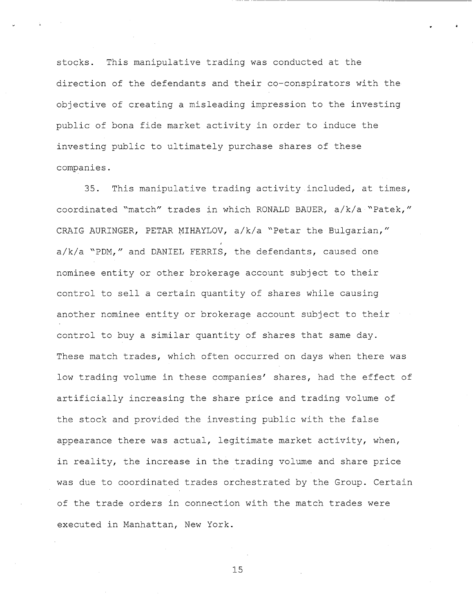This manipulative trading was conducted at the stocks. direction of the defendants and their co-conspirators with the objective of creating a misleading impression to the investing public of bona fide market activity in order to induce the investing public to ultimately purchase shares of these companies.

 $35.$ This manipulative trading activity included, at times, coordinated "match" trades in which RONALD BAUER, a/k/a "Patek," CRAIG AURINGER, PETAR MIHAYLOV, a/k/a "Petar the Bulgarian," a/k/a "PDM," and DANIEL FERRIS, the defendants, caused one nominee entity or other brokerage account subject to their control to sell a certain quantity of shares while causing another nominee entity or brokerage account subject to their control to buy a similar quantity of shares that same day. These match trades, which often occurred on days when there was low trading volume in these companies' shares, had the effect of artificially increasing the share price and trading volume of the stock and provided the investing public with the false appearance there was actual, legitimate market activity, when, in reality, the increase in the trading volume and share price was due to coordinated trades orchestrated by the Group. Certain of the trade orders in connection with the match trades were executed in Manhattan, New York.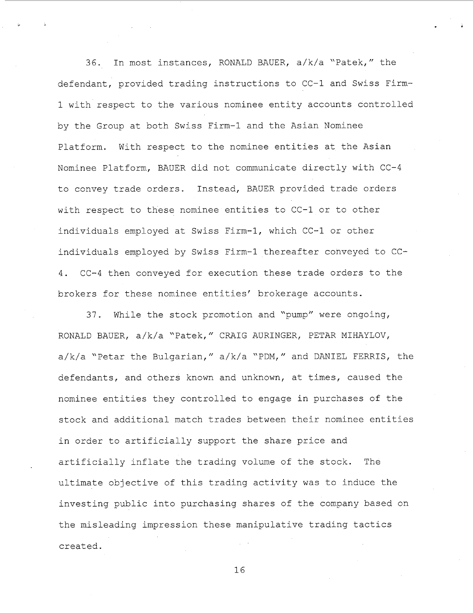In most instances, RONALD BAUER, a/k/a "Patek," the  $36$ defendant, provided trading instructions to CC-1 and Swiss Firm-1 with respect to the various nominee entity accounts controlled by the Group at both Swiss Firm-1 and the Asian Nominee Platform. With respect to the nominee entities at the Asian Nominee Platform, BAUER did not communicate directly with CC-4 to convey trade orders. Instead, BAUER provided trade orders with respect to these nominee entities to CC-1 or to other individuals employed at Swiss Firm-1, which CC-1 or other individuals employed by Swiss Firm-1 thereafter conveyed to CC-4. CC-4 then conveved for execution these trade orders to the brokers for these nominee entities' brokerage accounts.

While the stock promotion and "pump" were ongoing,  $37<sub>1</sub>$ RONALD BAUER, a/k/a "Patek," CRAIG AURINGER, PETAR MIHAYLOV, a/k/a "Petar the Bulgarian," a/k/a "PDM," and DANIEL FERRIS, the defendants, and others known and unknown, at times, caused the nominee entities they controlled to engage in purchases of the stock and additional match trades between their nominee entities in order to artificially support the share price and artificially inflate the trading volume of the stock. The ultimate objective of this trading activity was to induce the investing public into purchasing shares of the company based on the misleading impression these manipulative trading tactics created.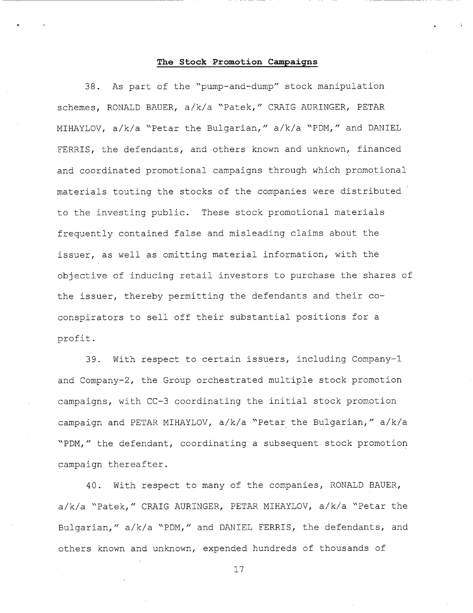### The Stock Promotion Campaigns

As part of the "pump-and-dump" stock manipulation 38. schemes, RONALD BAUER, a/k/a "Patek," CRAIG AURINGER, PETAR MIHAYLOV, a/k/a "Petar the Bulgarian," a/k/a "PDM," and DANIEL FERRIS, the defendants, and others known and unknown, financed and coordinated promotional campaigns through which promotional materials touting the stocks of the companies were distributed to the investing public. These stock promotional materials frequently contained false and misleading claims about the issuer, as well as omitting material information, with the objective of inducing retail investors to purchase the shares of the issuer, thereby permitting the defendants and their coconspirators to sell off their substantial positions for a profit.

With respect to certain issuers, including Company-1  $39.$ and Company-2, the Group orchestrated multiple stock promotion campaigns, with CC-3 coordinating the initial stock promotion campaign and PETAR MIHAYLOV, a/k/a "Petar the Bulgarian," a/k/a "PDM," the defendant, coordinating a subsequent stock promotion campaign thereafter.

With respect to many of the companies, RONALD BAUER,  $40.$ a/k/a "Patek," CRAIG AURINGER, PETAR MIHAYLOV, a/k/a "Petar the Bulgarian," a/k/a "PDM," and DANIEL FERRIS, the defendants, and others known and unknown, expended hundreds of thousands of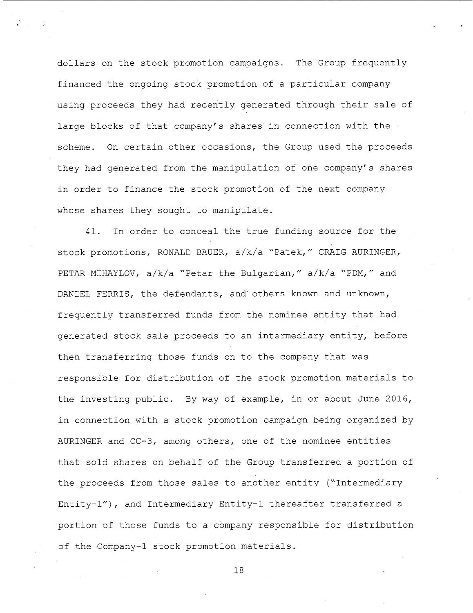dollars on the stock promotion campaigns. The Group frequently financed the ongoing stock promotion of a particular company using proceeds they had recently generated through their sale of large blocks of that company's shares in connection with the scheme. On certain other occasions, the Group used the proceeds they had generated from the manipulation of one company's shares in order to finance the stock promotion of the next company whose shares they sought to manipulate.

 $41$ In order to conceal the true funding source for the stock promotions, RONALD BAUER, a/k/a "Patek," CRAIG AURINGER, PETAR MIHAYLOV, a/k/a "Petar the Bulgarian," a/k/a "PDM," and DANIEL FERRIS, the defendants, and others known and unknown, frequently transferred funds from the nominee entity that had generated stock sale proceeds to an intermediary entity, before then transferring those funds on to the company that was responsible for distribution of the stock promotion materials to the investing public. By way of example, in or about June 2016, in connection with a stock promotion campaign being organized by AURINGER and CC-3, among others, one of the nominee entities that sold shares on behalf of the Group transferred a portion of the proceeds from those sales to another entity ("Intermediary Entity-1"), and Intermediary Entity-1 thereafter transferred a portion of those funds to a company responsible for distribution of the Company-1 stock promotion materials.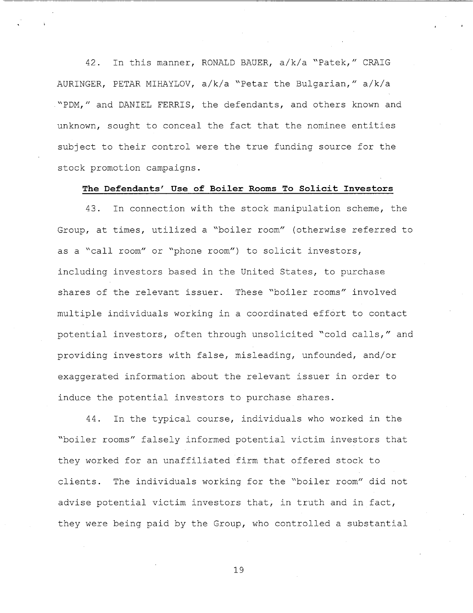In this manner, RONALD BAUER, a/k/a "Patek," CRAIG  $42<sup>1</sup>$ AURINGER, PETAR MIHAYLOV, a/k/a "Petar the Bulgarian," a/k/a "PDM," and DANIEL FERRIS, the defendants, and others known and unknown, sought to conceal the fact that the nominee entities subject to their control were the true funding source for the stock promotion campaigns.

### The Defendants' Use of Boiler Rooms To Solicit Investors

In connection with the stock manipulation scheme, the 43. Group, at times, utilized a "boiler room" (otherwise referred to as a "call room" or "phone room") to solicit investors, including investors based in the United States, to purchase shares of the relevant issuer. These "boiler rooms" involved multiple individuals working in a coordinated effort to contact potential investors, often through unsolicited "cold calls," and providing investors with false, misleading, unfounded, and/or exaggerated information about the relevant issuer in order to induce the potential investors to purchase shares.

In the typical course, individuals who worked in the 44. "boiler rooms" falsely informed potential victim investors that they worked for an unaffiliated firm that offered stock to The individuals working for the "boiler room" did not clients. advise potential victim investors that, in truth and in fact, they were being paid by the Group, who controlled a substantial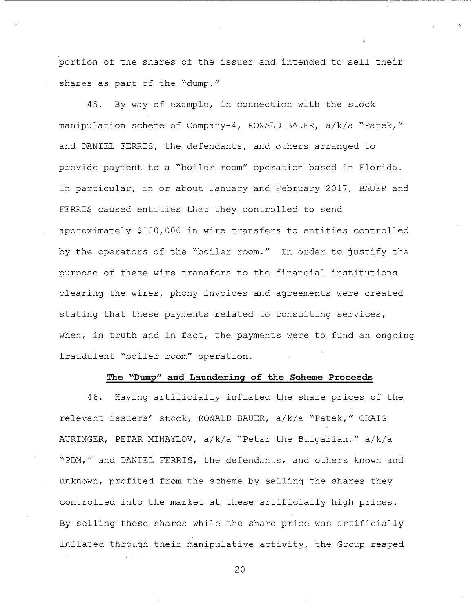portion of the shares of the issuer and intended to sell their shares as part of the "dump."

By way of example, in connection with the stock  $45.$ manipulation scheme of Company-4, RONALD BAUER, a/k/a "Patek," and DANIEL FERRIS, the defendants, and others arranged to provide payment to a "boiler room" operation based in Florida. In particular, in or about January and February 2017, BAUER and FERRIS caused entities that they controlled to send approximately \$100,000 in wire transfers to entities controlled by the operators of the "boiler room." In order to justify the purpose of these wire transfers to the financial institutions clearing the wires, phony invoices and agreements were created stating that these payments related to consulting services, when, in truth and in fact, the payments were to fund an ongoing fraudulent "boiler room" operation.

### The "Dump" and Laundering of the Scheme Proceeds

46. Having artificially inflated the share prices of the relevant issuers' stock, RONALD BAUER, a/k/a "Patek," CRAIG AURINGER, PETAR MIHAYLOV, a/k/a "Petar the Bulgarian," a/k/a "PDM," and DANIEL FERRIS, the defendants, and others known and unknown, profited from the scheme by selling the shares they controlled into the market at these artificially high prices. By selling these shares while the share price was artificially inflated through their manipulative activity, the Group reaped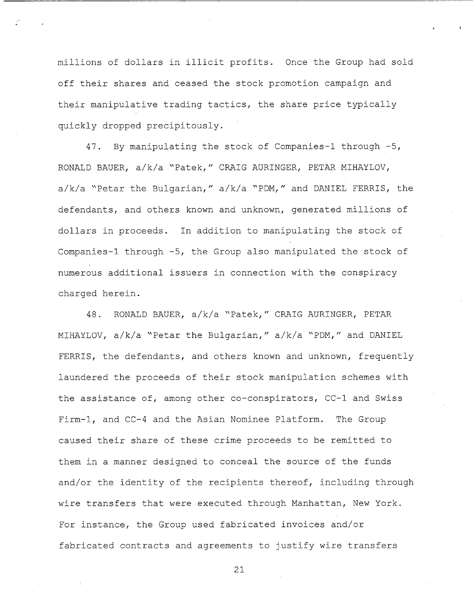millions of dollars in illicit profits. Once the Group had sold off their shares and ceased the stock promotion campaign and their manipulative trading tactics, the share price typically quickly dropped precipitously.

By manipulating the stock of Companies-1 through -5, 47. RONALD BAUER, a/k/a "Patek," CRAIG AURINGER, PETAR MIHAYLOV, a/k/a "Petar the Bulgarian," a/k/a "PDM," and DANIEL FERRIS, the defendants, and others known and unknown, generated millions of dollars in proceeds. In addition to manipulating the stock of Companies-1 through -5, the Group also manipulated the stock of numerous additional issuers in connection with the conspiracy charged herein.

RONALD BAUER, a/k/a "Patek," CRAIG AURINGER, PETAR 48. MIHAYLOV, a/k/a "Petar the Bulgarian," a/k/a "PDM," and DANIEL FERRIS, the defendants, and others known and unknown, frequently laundered the proceeds of their stock manipulation schemes with the assistance of, among other co-conspirators, CC-1 and Swiss Firm-1, and CC-4 and the Asian Nominee Platform. The Group caused their share of these crime proceeds to be remitted to them in a manner designed to conceal the source of the funds and/or the identity of the recipients thereof, including through wire transfers that were executed through Manhattan, New York. For instance, the Group used fabricated invoices and/or fabricated contracts and agreements to justify wire transfers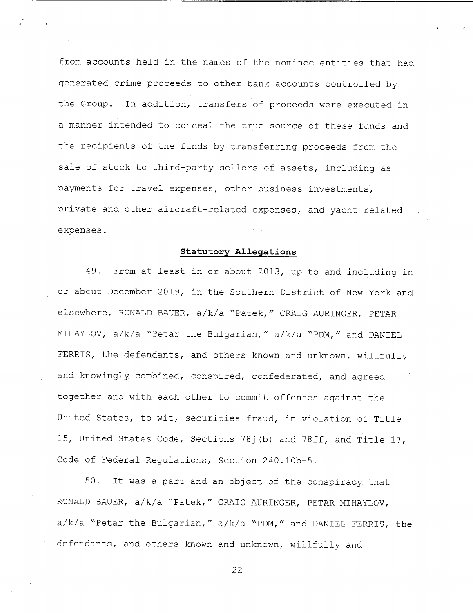from accounts held in the names of the nominee entities that had generated crime proceeds to other bank accounts controlled by the Group. In addition, transfers of proceeds were executed in a manner intended to conceal the true source of these funds and the recipients of the funds by transferring proceeds from the sale of stock to third-party sellers of assets, including as payments for travel expenses, other business investments, private and other aircraft-related expenses, and yacht-related expenses.

## **Statutory Allegations**

From at least in or about 2013, up to and including in 49. or about December 2019, in the Southern District of New York and elsewhere, RONALD BAUER, a/k/a "Patek," CRAIG AURINGER, PETAR MIHAYLOV, a/k/a "Petar the Bulgarian," a/k/a "PDM," and DANIEL FERRIS, the defendants, and others known and unknown, willfully and knowingly combined, conspired, confederated, and agreed together and with each other to commit offenses against the United States, to wit, securities fraud, in violation of Title 15, United States Code, Sections 78j(b) and 78ff, and Title 17, Code of Federal Regulations, Section 240.10b-5.

 $50.$ It was a part and an object of the conspiracy that RONALD BAUER, a/k/a "Patek," CRAIG AURINGER, PETAR MIHAYLOV, a/k/a "Petar the Bulgarian," a/k/a "PDM," and DANIEL FERRIS, the defendants, and others known and unknown, willfully and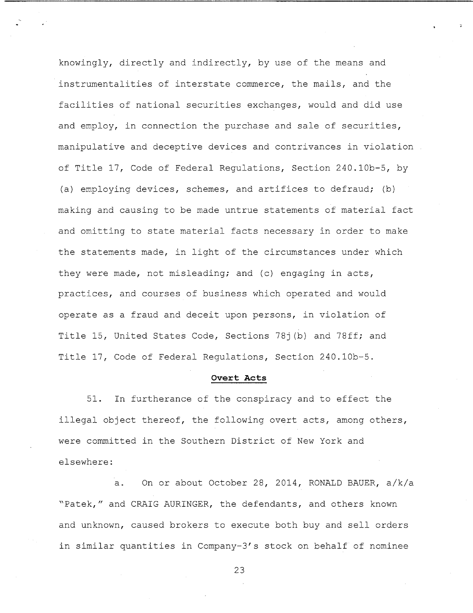knowingly, directly and indirectly, by use of the means and instrumentalities of interstate commerce, the mails, and the facilities of national securities exchanges, would and did use and employ, in connection the purchase and sale of securities, manipulative and deceptive devices and contrivances in violation of Title 17, Code of Federal Regulations, Section 240.10b-5, by (a) employing devices, schemes, and artifices to defraud; (b) making and causing to be made untrue statements of material fact and omitting to state material facts necessary in order to make the statements made, in light of the circumstances under which they were made, not misleading; and (c) engaging in acts, practices, and courses of business which operated and would operate as a fraud and deceit upon persons, in violation of Title 15, United States Code, Sections 781(b) and 78ff; and Title 17, Code of Federal Regulations, Section 240.10b-5.

#### Overt Acts

In furtherance of the conspiracy and to effect the  $51.$ illegal object thereof, the following overt acts, among others, were committed in the Southern District of New York and elsewhere:

On or about October 28, 2014, RONALD BAUER, a/k/a  $a.$ "Patek," and CRAIG AURINGER, the defendants, and others known and unknown, caused brokers to execute both buy and sell orders in similar quantities in Company-3's stock on behalf of nominee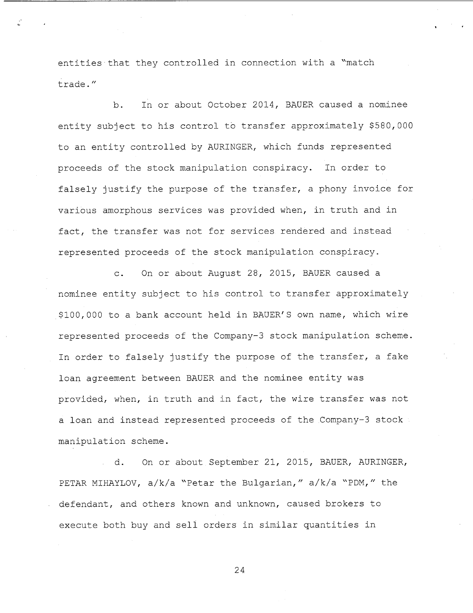entities that they controlled in connection with a "match trade."

In or about October 2014, BAUER caused a nominee  $b<sub>1</sub>$ entity subject to his control to transfer approximately \$580,000 to an entity controlled by AURINGER, which funds represented proceeds of the stock manipulation conspiracy. In order to falsely justify the purpose of the transfer, a phony invoice for various amorphous services was provided when, in truth and in fact, the transfer was not for services rendered and instead represented proceeds of the stock manipulation conspiracy.

On or about August 28, 2015, BAUER caused a  $\overline{c}$ . nominee entity subject to his control to transfer approximately \$100,000 to a bank account held in BAUER'S own name, which wire represented proceeds of the Company-3 stock manipulation scheme. In order to falsely justify the purpose of the transfer, a fake loan agreement between BAUER and the nominee entity was provided, when, in truth and in fact, the wire transfer was not a loan and instead represented proceeds of the Company-3 stock manipulation scheme.

On or about September 21, 2015, BAUER, AURINGER, d. PETAR MIHAYLOV, a/k/a "Petar the Bulgarian," a/k/a "PDM," the defendant, and others known and unknown, caused brokers to execute both buy and sell orders in similar quantities in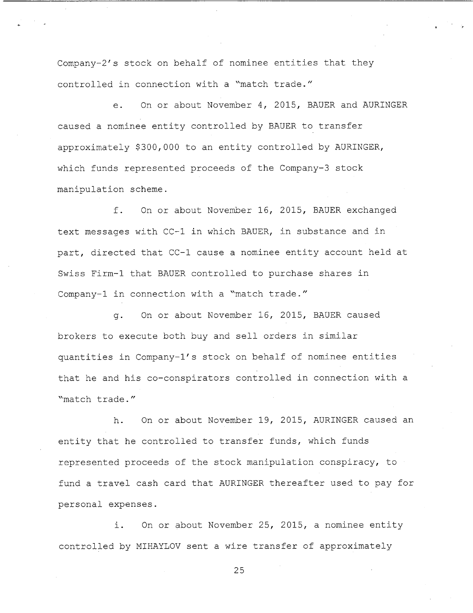Company-2's stock on behalf of nominee entities that they controlled in connection with a "match trade."

On or about November 4, 2015, BAUER and AURINGER  $e<sub>1</sub>$ caused a nominee entity controlled by BAUER to transfer approximately \$300,000 to an entity controlled by AURINGER, which funds represented proceeds of the Company-3 stock manipulation scheme.

On or about November 16, 2015, BAUER exchanged  $f_{\perp}$ text messages with CC-1 in which BAUER, in substance and in part, directed that CC-1 cause a nominee entity account held at Swiss Firm-1 that BAUER controlled to purchase shares in Company-1 in connection with a "match trade."

On or about November 16, 2015, BAUER caused  $\alpha$ . brokers to execute both buy and sell orders in similar quantities in Company-1's stock on behalf of nominee entities that he and his co-conspirators controlled in connection with a "match trade"

h. On or about November 19, 2015, AURINGER caused an entity that he controlled to transfer funds, which funds represented proceeds of the stock manipulation conspiracy, to fund a travel cash card that AURINGER thereafter used to pay for personal expenses.

On or about November 25, 2015, a nominee entity i. controlled by MIHAYLOV sent a wire transfer of approximately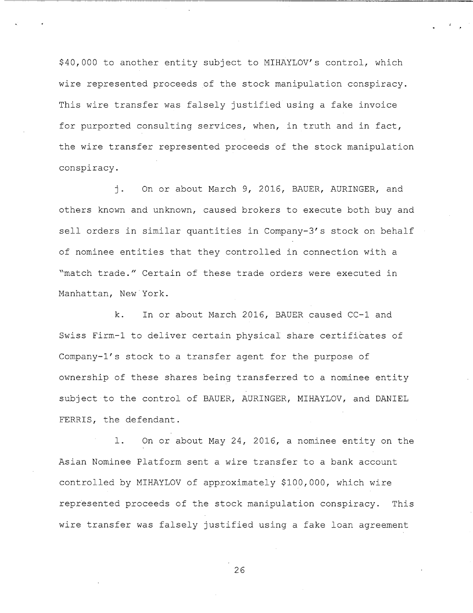\$40,000 to another entity subject to MIHAYLOV's control, which wire represented proceeds of the stock manipulation conspiracy. This wire transfer was falsely justified using a fake invoice for purported consulting services, when, in truth and in fact, the wire transfer represented proceeds of the stock manipulation conspiracy.

 $\mathbf{\dot{1}}$ . On or about March 9, 2016, BAUER, AURINGER, and others known and unknown, caused brokers to execute both buy and sell orders in similar quantities in Company-3's stock on behalf of nominee entities that they controlled in connection with a "match trade." Certain of these trade orders were executed in Manhattan, New York.

 $k<sub>1</sub>$ In or about March 2016, BAUER caused CC-1 and Swiss Firm-1 to deliver certain physical share certificates of Company-1's stock to a transfer agent for the purpose of ownership of these shares being transferred to a nominee entity subject to the control of BAUER, AURINGER, MIHAYLOV, and DANIEL FERRIS, the defendant.

On or about May 24, 2016, a nominee entity on the  $1.$ Asian Nominee Platform sent a wire transfer to a bank account controlled by MIHAYLOV of approximately \$100,000, which wire represented proceeds of the stock manipulation conspiracy. This wire transfer was falsely justified using a fake loan agreement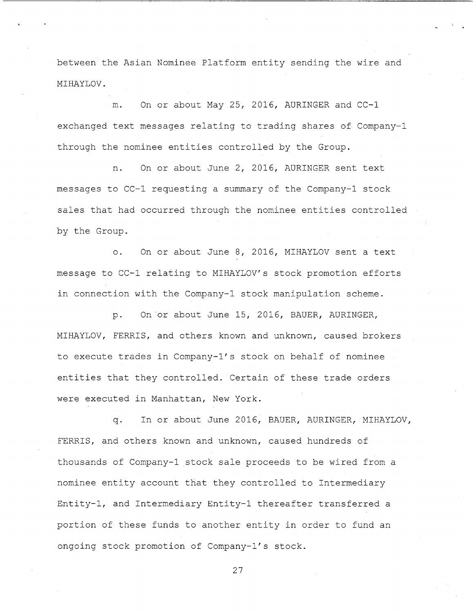between the Asian Nominee Platform entity sending the wire and MIHAYLOV.

On or about May 25, 2016, AURINGER and CC-1 m. exchanged text messages relating to trading shares of Company-1 through the nominee entities controlled by the Group.

On or about June 2, 2016, AURINGER sent text n. messages to CC-1 requesting a summary of the Company-1 stock sales that had occurred through the nominee entities controlled by the Group.

On or about June 8, 2016, MIHAYLOV sent a text  $\circ$ . message to CC-1 relating to MIHAYLOV's stock promotion efforts in connection with the Company-1 stock manipulation scheme.

On or about June 15, 2016, BAUER, AURINGER,  $D -$ MIHAYLOV, FERRIS, and others known and unknown, caused brokers to execute trades in Company-1's stock on behalf of nominee entities that they controlled. Certain of these trade orders were executed in Manhattan, New York.

In or about June 2016, BAUER, AURINGER, MIHAYLOV,  $\alpha$ . FERRIS, and others known and unknown, caused hundreds of thousands of Company-1 stock sale proceeds to be wired from a nominee entity account that they controlled to Intermediary Entity-1, and Intermediary Entity-1 thereafter transferred a portion of these funds to another entity in order to fund an ongoing stock promotion of Company-1's stock.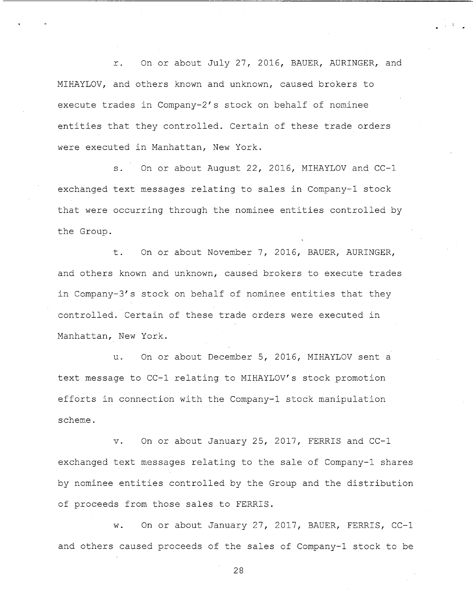On or about July 27, 2016, BAUER, AURINGER, and  $\mathcal{L}$ MIHAYLOV, and others known and unknown, caused brokers to execute trades in Company-2's stock on behalf of nominee entities that they controlled. Certain of these trade orders were executed in Manhattan, New York.

 $S_{\pm}$ On or about August 22, 2016, MIHAYLOV and CC-1 exchanged text messages relating to sales in Company-1 stock that were occurring through the nominee entities controlled by the Group.

On or about November 7, 2016, BAUER, AURINGER,  $t$ . and others known and unknown, caused brokers to execute trades in Company-3's stock on behalf of nominee entities that they controlled. Certain of these trade orders were executed in Manhattan, New York.

On or about December 5, 2016, MIHAYLOV sent a  $11<sup>2</sup>$ text message to CC-1 relating to MIHAYLOV's stock promotion efforts in connection with the Company-1 stock manipulation scheme.

On or about January 25, 2017, FERRIS and CC-1  $V$ . exchanged text messages relating to the sale of Company-1 shares by nominee entities controlled by the Group and the distribution of proceeds from those sales to FERRIS.

On or about January 27, 2017, BAUER, FERRIS, CC-1 w. and others caused proceeds of the sales of Company-1 stock to be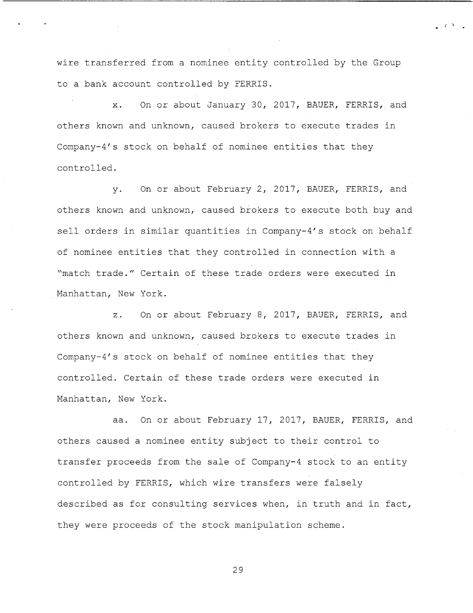wire transferred from a nominee entity controlled by the Group to a bank account controlled by FERRIS.

On or about January 30, 2017, BAUER, FERRIS, and  $\mathbf{x}$ . others known and unknown, caused brokers to execute trades in Company-4's stock on behalf of nominee entities that they controlled.

On or about February 2, 2017, BAUER, FERRIS, and  $V_{\bullet}$ others known and unknown, caused brokers to execute both buy and sell orders in similar quantities in Company-4's stock on behalf of nominee entities that they controlled in connection with a "match trade." Certain of these trade orders were executed in Manhattan, New York.

On or about February 8, 2017, BAUER, FERRIS, and  $\overline{z}$ . others known and unknown, caused brokers to execute trades in Company-4's stock on behalf of nominee entities that they controlled. Certain of these trade orders were executed in Manhattan, New York.

On or about February 17, 2017, BAUER, FERRIS, and aa. others caused a nominee entity subject to their control to transfer proceeds from the sale of Company-4 stock to an entity controlled by FERRIS, which wire transfers were falsely described as for consulting services when, in truth and in fact, they were proceeds of the stock manipulation scheme.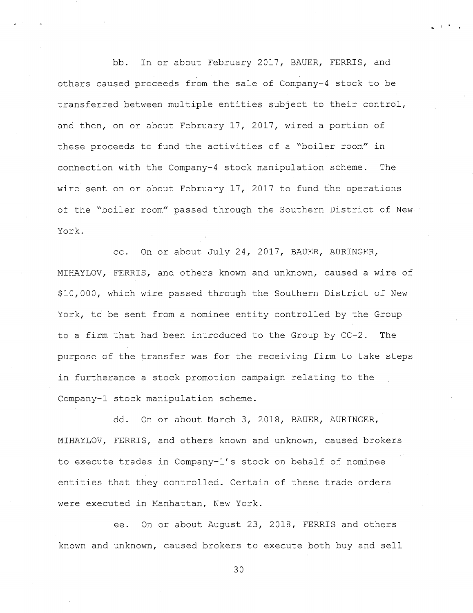In or about February 2017, BAUER, FERRIS, and hh. others caused proceeds from the sale of Company-4 stock to be transferred between multiple entities subject to their control, and then, on or about February 17, 2017, wired a portion of these proceeds to fund the activities of a "boiler room" in connection with the Company-4 stock manipulation scheme. The wire sent on or about February 17, 2017 to fund the operations of the "boiler room" passed through the Southern District of New York.

. cc. On or about July 24, 2017, BAUER, AURINGER, MIHAYLOV, FERRIS, and others known and unknown, caused a wire of \$10,000, which wire passed through the Southern District of New York, to be sent from a nominee entity controlled by the Group to a firm that had been introduced to the Group by CC-2. The purpose of the transfer was for the receiving firm to take steps in furtherance a stock promotion campaign relating to the Company-1 stock manipulation scheme.

On or about March 3, 2018, BAUER, AURINGER, dd. MIHAYLOV, FERRIS, and others known and unknown, caused brokers to execute trades in Company-1's stock on behalf of nominee entities that they controlled. Certain of these trade orders were executed in Manhattan, New York.

On or about August 23, 2018, FERRIS and others ee. known and unknown, caused brokers to execute both buy and sell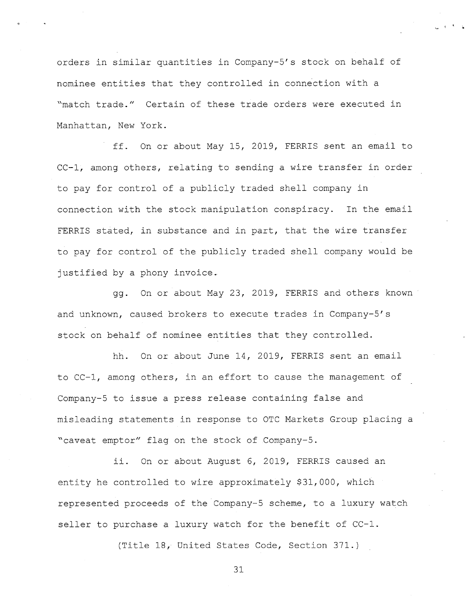orders in similar quantities in Company-5's stock on behalf of nominee entities that they controlled in connection with a "match trade." Certain of these trade orders were executed in Manhattan, New York.

ff. On or about May 15, 2019, FERRIS sent an email to CC-1, among others, relating to sending a wire transfer in order to pay for control of a publicly traded shell company in connection with the stock manipulation conspiracy. In the email FERRIS stated, in substance and in part, that the wire transfer to pay for control of the publicly traded shell company would be justified by a phony invoice.

gg. On or about May 23, 2019, FERRIS and others known and unknown, caused brokers to execute trades in Company-5's stock on behalf of nominee entities that they controlled.

hh. On or about June 14, 2019, FERRIS sent an email to CC-1, among others, in an effort to cause the management of Company-5 to issue a press release containing false and misleading statements in response to OTC Markets Group placing a "caveat emptor" flag on the stock of Company-5.

ii. On or about August 6, 2019, FERRIS caused an entity he controlled to wire approximately \$31,000, which represented proceeds of the Company-5 scheme, to a luxury watch seller to purchase a luxury watch for the benefit of CC-1.

(Title 18, United States Code, Section 371.)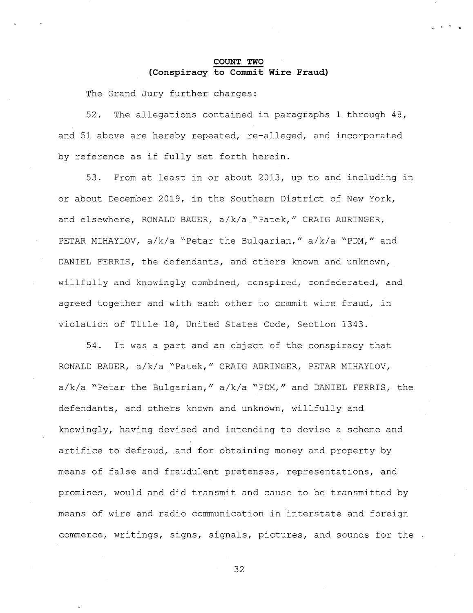## COUNT TWO (Conspiracy to Commit Wire Fraud)

The Grand Jury further charges:

The allegations contained in paragraphs 1 through 48,  $52.$ and 51 above are hereby repeated, re-alleged, and incorporated by reference as if fully set forth herein.

From at least in or about 2013, up to and including in  $53.$ or about December 2019, in the Southern District of New York, and elsewhere, RONALD BAUER, a/k/a "Patek," CRAIG AURINGER, PETAR MIHAYLOV, a/k/a "Petar the Bulgarian," a/k/a "PDM," and DANIEL FERRIS, the defendants, and others known and unknown, willfully and knowingly combined, conspired, confederated, and agreed together and with each other to commit wire fraud, in violation of Title 18, United States Code, Section 1343.

It was a part and an object of the conspiracy that  $54.$ RONALD BAUER, a/k/a "Patek," CRAIG AURINGER, PETAR MIHAYLOV, a/k/a "Petar the Bulgarian," a/k/a "PDM," and DANIEL FERRIS, the defendants, and others known and unknown, willfully and knowingly, having devised and intending to devise a scheme and artifice to defraud, and for obtaining money and property by means of false and fraudulent pretenses, representations, and promises, would and did transmit and cause to be transmitted by means of wire and radio communication in interstate and foreign commerce, writings, signs, signals, pictures, and sounds for the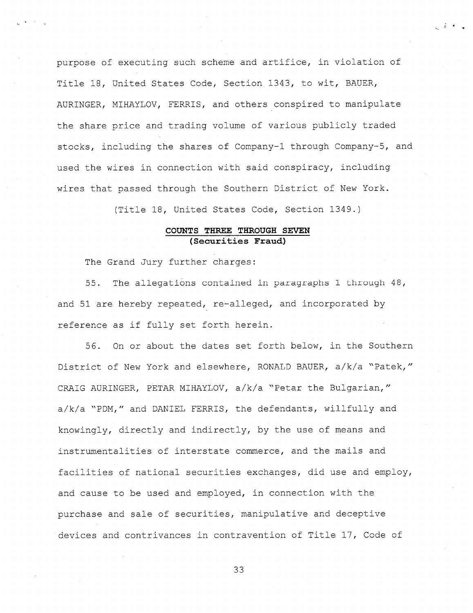purpose of executing such scheme and artifice, in violation of Title 18, United States Code, Section 1343, to wit, BAUER, AURINGER, MIHAYLOV, FERRIS, and others conspired to manipulate the share price and trading volume of various publicly traded stocks, including the shares of Company-1 through Company-5, and used the wires in connection with said conspiracy, including wires that passed through the Southern District of New York.

 $\mathcal{L}(\mathcal{L}) = \mathcal{L}(\mathcal{L})$ 

(Title 18, United States Code, Section 1349.)

### COUNTS THREE THROUGH SEVEN (Securities Fraud)

The Grand Jury further charges:

The allegations contained in paragraphs 1 through 48,  $55.$ and 51 are hereby repeated, re-alleged, and incorporated by reference as if fully set forth herein.

On or about the dates set forth below, in the Southern 56. District of New York and elsewhere, RONALD BAUER, a/k/a "Patek," CRAIG AURINGER, PETAR MIHAYLOV, a/k/a "Petar the Bulgarian," a/k/a "PDM," and DANIEL FERRIS, the defendants, willfully and knowingly, directly and indirectly, by the use of means and instrumentalities of interstate commerce, and the mails and facilities of national securities exchanges, did use and employ, and cause to be used and employed, in connection with the purchase and sale of securities, manipulative and deceptive devices and contrivances in contravention of Title 17, Code of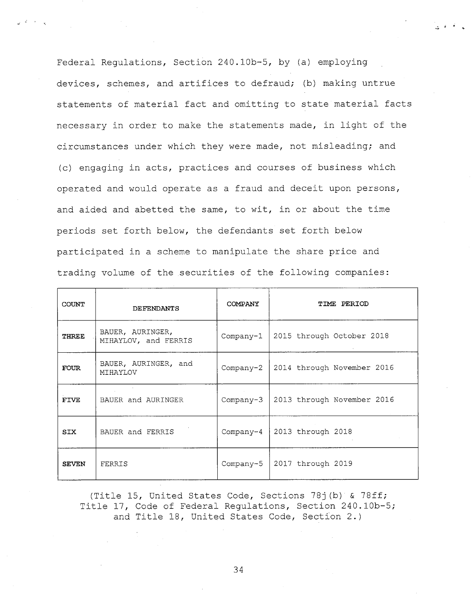Federal Regulations, Section 240.10b-5, by (a) employing devices, schemes, and artifices to defraud; (b) making untrue statements of material fact and omitting to state material facts necessary in order to make the statements made, in light of the circumstances under which they were made, not misleading; and (c) engaging in acts, practices and courses of business which operated and would operate as a fraud and deceit upon persons, and aided and abetted the same, to wit, in or about the time periods set forth below, the defendants set forth below participated in a scheme to manipulate the share price and trading volume of the securities of the following companies:

 $\label{eq:2} \mathcal{L}(\mathcal{L}) = \mathcal{L}(\mathcal{L}) \mathcal{L}(\mathcal{L})$ 

| <b>COUNT</b> | DEFENDANTS                               | COMPANY   | TIME PERIOD                            |
|--------------|------------------------------------------|-----------|----------------------------------------|
| THREE        | BAUER, AURINGER,<br>MIHAYLOV, and FERRIS | Company-1 | 2015 through October 2018              |
| <b>FOUR</b>  | BAUER, AURINGER, and<br>MIHAYLOV         |           | Company-2   2014 through November 2016 |
| <b>FIVE</b>  | BAUER and AURINGER                       |           | Company-3   2013 through November 2016 |
| <b>SIX</b>   | BAUER and FERRIS                         |           | Company-4   2013 through 2018          |
| <b>SEVEN</b> | FERRIS                                   |           | Company-5   2017 through 2019          |

(Title 15, United States Code, Sections 78j(b) & 78ff; Title 17, Code of Federal Regulations, Section 240.10b-5; and Title 18, United States Code, Section 2.)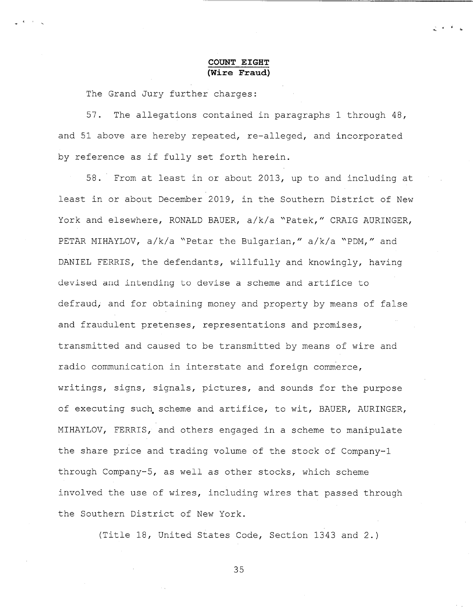## **COUNT EIGHT** (Wire Fraud)

The Grand Jury further charges:

57. The allegations contained in paragraphs 1 through 48, and 51 above are hereby repeated, re-alleged, and incorporated by reference as if fully set forth herein.

58. From at least in or about 2013, up to and including at least in or about December 2019, in the Southern District of New York and elsewhere, RONALD BAUER, a/k/a "Patek," CRAIG AURINGER, PETAR MIHAYLOV, a/k/a "Petar the Bulgarian," a/k/a "PDM," and DANIEL FERRIS, the defendants, willfully and knowingly, having devised and intending to devise a scheme and artifice to defraud, and for obtaining money and property by means of false and fraudulent pretenses, representations and promises, transmitted and caused to be transmitted by means of wire and radio communication in interstate and foreign commerce, writings, signs, signals, pictures, and sounds for the purpose of executing such scheme and artifice, to wit, BAUER, AURINGER, MIHAYLOV, FERRIS, and others engaged in a scheme to manipulate the share price and trading volume of the stock of Company-1 through Company-5, as well as other stocks, which scheme involved the use of wires, including wires that passed through the Southern District of New York.

(Title 18, United States Code, Section 1343 and 2.)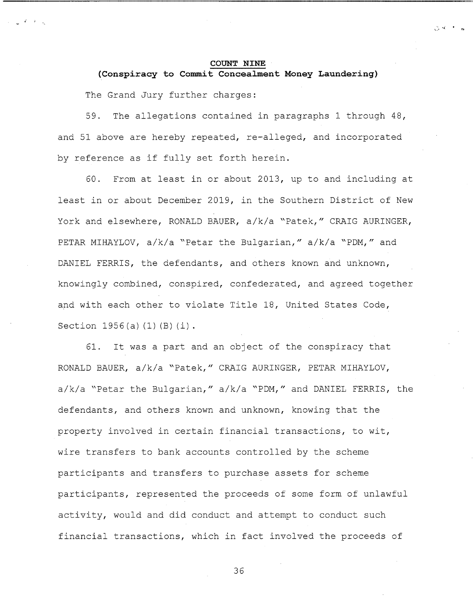#### **COUNT NINE**

 $\mathcal{H}^{\prime}$  and  $\mathcal{H}^{\prime}$  . In the  $\mathcal{H}^{\prime}$ 

(Conspiracy to Commit Concealment Money Laundering) The Grand Jury further charges:

59. The allegations contained in paragraphs 1 through 48, and 51 above are hereby repeated, re-alleged, and incorporated by reference as if fully set forth herein.

60. From at least in or about 2013, up to and including at least in or about December 2019, in the Southern District of New York and elsewhere, RONALD BAUER, a/k/a "Patek," CRAIG AURINGER, PETAR MIHAYLOV, a/k/a "Petar the Bulgarian," a/k/a "PDM," and DANIEL FERRIS, the defendants, and others known and unknown, knowingly combined, conspired, confederated, and agreed together and with each other to violate Title 18, United States Code, Section 1956(a)(1)(B)(i).

It was a part and an object of the conspiracy that 61. RONALD BAUER, a/k/a "Patek," CRAIG AURINGER, PETAR MIHAYLOV, a/k/a "Petar the Bulgarian," a/k/a "PDM," and DANIEL FERRIS, the defendants, and others known and unknown, knowing that the property involved in certain financial transactions, to wit, wire transfers to bank accounts controlled by the scheme participants and transfers to purchase assets for scheme participants, represented the proceeds of some form of unlawful activity, would and did conduct and attempt to conduct such financial transactions, which in fact involved the proceeds of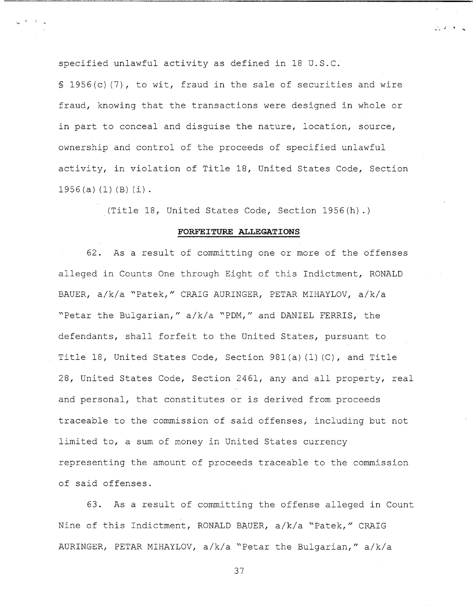specified unlawful activity as defined in 18 U.S.C.

§ 1956(c)(7), to wit, fraud in the sale of securities and wire fraud, knowing that the transactions were designed in whole or in part to conceal and disquise the nature, location, source, ownership and control of the proceeds of specified unlawful activity, in violation of Title 18, United States Code, Section  $1956(a) (1) (B) (i)$ .

 $\mathbb{R}^2 \times \mathbb{R}^2$ 

(Title 18, United States Code, Section 1956(h).)

#### FORFEITURE ALLEGATIONS

62. As a result of committing one or more of the offenses alleged in Counts One through Eight of this Indictment, RONALD BAUER, a/k/a "Patek," CRAIG AURINGER, PETAR MIHAYLOV, a/k/a "Petar the Bulgarian," a/k/a "PDM," and DANIEL FERRIS, the defendants, shall forfeit to the United States, pursuant to Title 18, United States Code, Section 981(a)(1)(C), and Title 28, United States Code, Section 2461, any and all property, real and personal, that constitutes or is derived from proceeds traceable to the commission of said offenses, including but not limited to, a sum of money in United States currency representing the amount of proceeds traceable to the commission of said offenses.

63. As a result of committing the offense alleged in Count Nine of this Indictment, RONALD BAUER, a/k/a "Patek," CRAIG AURINGER, PETAR MIHAYLOV, a/k/a "Petar the Bulgarian," a/k/a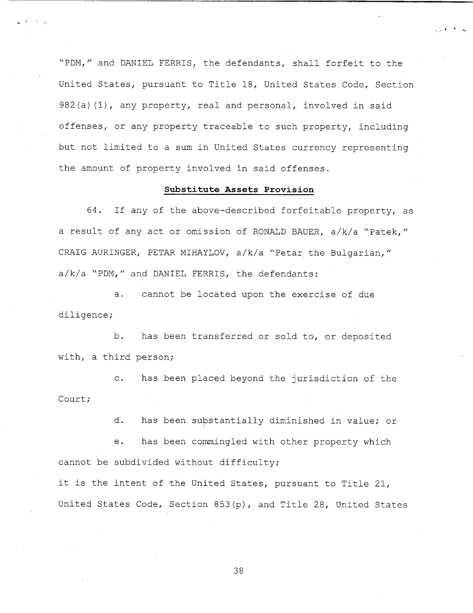"PDM," and DANIEL FERRIS, the defendants, shall forfeit to the United States, pursuant to Title 18, United States Code, Section 982(a)(1), any property, real and personal, involved in said offenses, or any property traceable to such property, including but not limited to a sum in United States currency representing the amount of property involved in said offenses.

#### Substitute Assets Provision

64. If any of the above-described forfeitable property, as a result of any act or omission of RONALD BAUER, a/k/a "Patek," CRAIG AURINGER, PETAR MIHAYLOV, a/k/a "Petar the Bulgarian," a/k/a "PDM," and DANIEL FERRIS, the defendants:

cannot be located upon the exercise of due  $a.$ diligence;

b. has been transferred or sold to, or deposited with, a third person;

has been placed beyond the jurisdiction of the  $\mathsf{C}$ . Court:

> d. has been substantially diminished in value; or

has been commingled with other property which  $e<sub>1</sub>$ cannot be subdivided without difficulty;

it is the intent of the United States, pursuant to Title 21, United States Code, Section 853(p), and Title 28, United States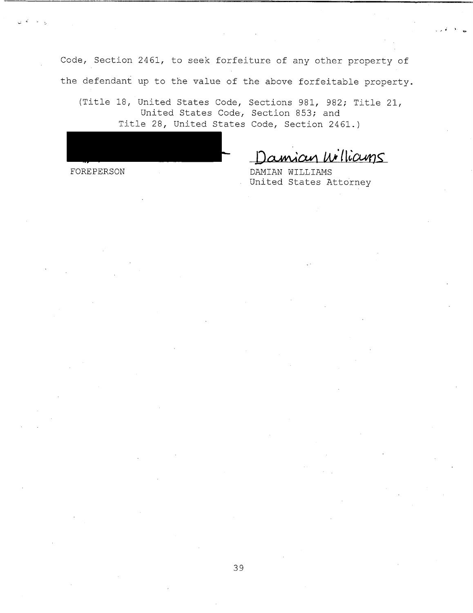Code, Section 2461, to seek forfeiture of any other property of the defendant up to the value of the above forfeitable property.

(Title 18, United States Code, Sections 981, 982; Title 21, United States Code, Section 853; and Title 28, United States Code, Section 2461.)

amian Williams

FOREPERSON

DAMIAN WILLIAMS United States Attorney